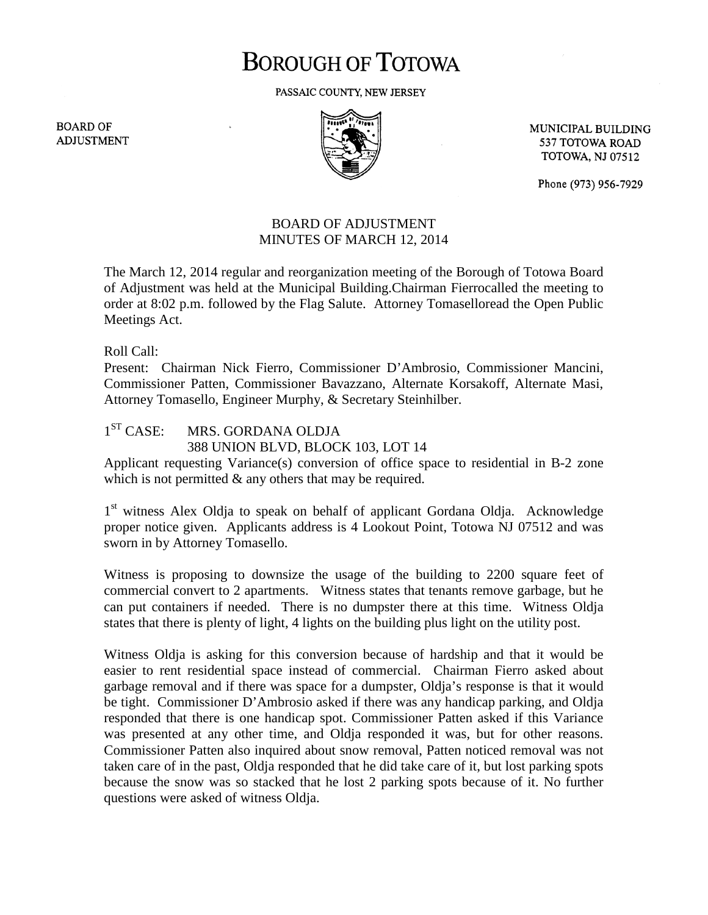# **BOROUGH OF TOTOWA**

PASSAIC COUNTY, NEW JERSEY

**BOARD OF ADJUSTMENT** 



MUNICIPAL BUILDING 537 TOTOWA ROAD **TOTOWA, NJ 07512** 

Phone (973) 956-7929

### BOARD OF ADJUSTMENT MINUTES OF MARCH 12, 2014

The March 12, 2014 regular and reorganization meeting of the Borough of Totowa Board of Adjustment was held at the Municipal Building.Chairman Fierrocalled the meeting to order at 8:02 p.m. followed by the Flag Salute. Attorney Tomaselloread the Open Public Meetings Act.

Roll Call:

Present: Chairman Nick Fierro, Commissioner D'Ambrosio, Commissioner Mancini, Commissioner Patten, Commissioner Bavazzano, Alternate Korsakoff, Alternate Masi, Attorney Tomasello, Engineer Murphy, & Secretary Steinhilber.

### 1<sup>ST</sup> CASE: MRS. GORDANA OLDJA 388 UNION BLVD, BLOCK 103, LOT 14

Applicant requesting Variance(s) conversion of office space to residential in B-2 zone which is not permitted  $\&$  any others that may be required.

1<sup>st</sup> witness Alex Oldja to speak on behalf of applicant Gordana Oldja. Acknowledge proper notice given. Applicants address is 4 Lookout Point, Totowa NJ 07512 and was sworn in by Attorney Tomasello.

Witness is proposing to downsize the usage of the building to 2200 square feet of commercial convert to 2 apartments. Witness states that tenants remove garbage, but he can put containers if needed. There is no dumpster there at this time. Witness Oldja states that there is plenty of light, 4 lights on the building plus light on the utility post.

Witness Oldja is asking for this conversion because of hardship and that it would be easier to rent residential space instead of commercial. Chairman Fierro asked about garbage removal and if there was space for a dumpster, Oldja's response is that it would be tight. Commissioner D'Ambrosio asked if there was any handicap parking, and Oldja responded that there is one handicap spot. Commissioner Patten asked if this Variance was presented at any other time, and Oldja responded it was, but for other reasons. Commissioner Patten also inquired about snow removal, Patten noticed removal was not taken care of in the past, Oldja responded that he did take care of it, but lost parking spots because the snow was so stacked that he lost 2 parking spots because of it. No further questions were asked of witness Oldja.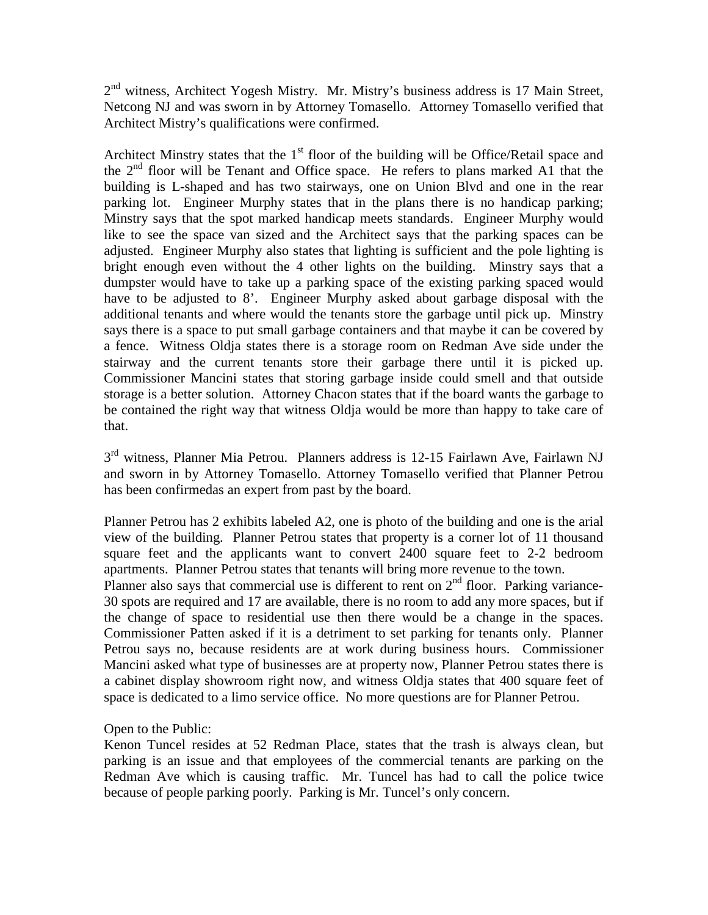$2<sup>nd</sup>$  witness, Architect Yogesh Mistry. Mr. Mistry's business address is 17 Main Street, Netcong NJ and was sworn in by Attorney Tomasello. Attorney Tomasello verified that Architect Mistry's qualifications were confirmed.

Architect Minstry states that the  $1<sup>st</sup>$  floor of the building will be Office/Retail space and the  $2<sup>nd</sup>$  floor will be Tenant and Office space. He refers to plans marked A1 that the building is L-shaped and has two stairways, one on Union Blvd and one in the rear parking lot. Engineer Murphy states that in the plans there is no handicap parking; Minstry says that the spot marked handicap meets standards. Engineer Murphy would like to see the space van sized and the Architect says that the parking spaces can be adjusted. Engineer Murphy also states that lighting is sufficient and the pole lighting is bright enough even without the 4 other lights on the building. Minstry says that a dumpster would have to take up a parking space of the existing parking spaced would have to be adjusted to 8'. Engineer Murphy asked about garbage disposal with the additional tenants and where would the tenants store the garbage until pick up. Minstry says there is a space to put small garbage containers and that maybe it can be covered by a fence. Witness Oldja states there is a storage room on Redman Ave side under the stairway and the current tenants store their garbage there until it is picked up. Commissioner Mancini states that storing garbage inside could smell and that outside storage is a better solution. Attorney Chacon states that if the board wants the garbage to be contained the right way that witness Oldja would be more than happy to take care of that.

3<sup>rd</sup> witness, Planner Mia Petrou. Planners address is 12-15 Fairlawn Ave, Fairlawn NJ and sworn in by Attorney Tomasello. Attorney Tomasello verified that Planner Petrou has been confirmedas an expert from past by the board.

Planner Petrou has 2 exhibits labeled A2, one is photo of the building and one is the arial view of the building. Planner Petrou states that property is a corner lot of 11 thousand square feet and the applicants want to convert 2400 square feet to 2-2 bedroom apartments. Planner Petrou states that tenants will bring more revenue to the town.

Planner also says that commercial use is different to rent on  $2<sup>nd</sup>$  floor. Parking variance-30 spots are required and 17 are available, there is no room to add any more spaces, but if the change of space to residential use then there would be a change in the spaces. Commissioner Patten asked if it is a detriment to set parking for tenants only. Planner Petrou says no, because residents are at work during business hours. Commissioner Mancini asked what type of businesses are at property now, Planner Petrou states there is a cabinet display showroom right now, and witness Oldja states that 400 square feet of space is dedicated to a limo service office. No more questions are for Planner Petrou.

Open to the Public:

Kenon Tuncel resides at 52 Redman Place, states that the trash is always clean, but parking is an issue and that employees of the commercial tenants are parking on the Redman Ave which is causing traffic. Mr. Tuncel has had to call the police twice because of people parking poorly. Parking is Mr. Tuncel's only concern.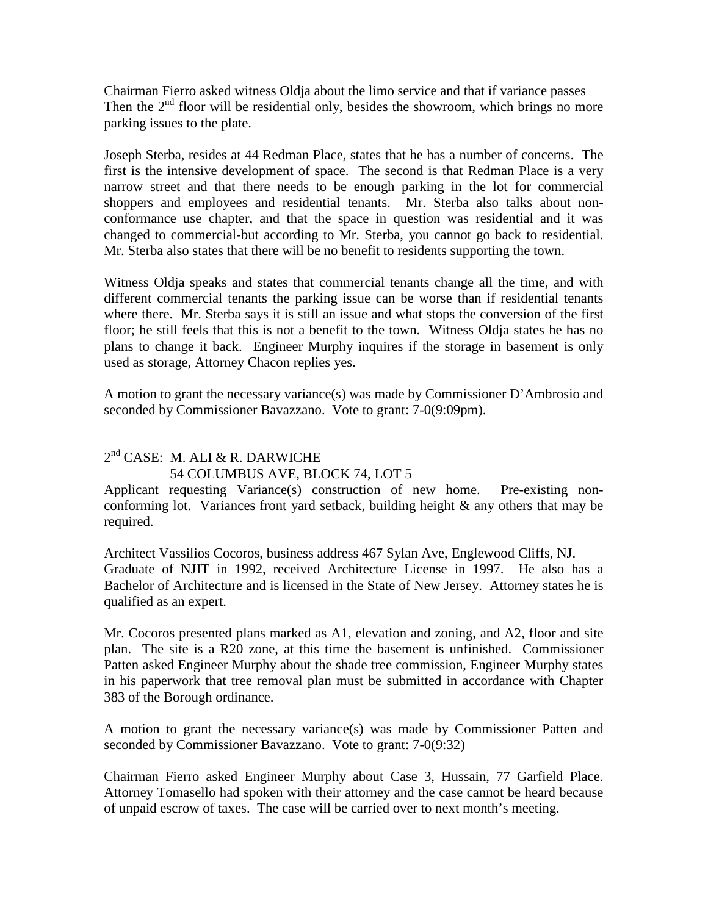Chairman Fierro asked witness Oldja about the limo service and that if variance passes Then the  $2<sup>nd</sup>$  floor will be residential only, besides the showroom, which brings no more parking issues to the plate.

Joseph Sterba, resides at 44 Redman Place, states that he has a number of concerns. The first is the intensive development of space. The second is that Redman Place is a very narrow street and that there needs to be enough parking in the lot for commercial shoppers and employees and residential tenants. Mr. Sterba also talks about nonconformance use chapter, and that the space in question was residential and it was changed to commercial-but according to Mr. Sterba, you cannot go back to residential. Mr. Sterba also states that there will be no benefit to residents supporting the town.

Witness Oldja speaks and states that commercial tenants change all the time, and with different commercial tenants the parking issue can be worse than if residential tenants where there. Mr. Sterba says it is still an issue and what stops the conversion of the first floor; he still feels that this is not a benefit to the town. Witness Oldja states he has no plans to change it back. Engineer Murphy inquires if the storage in basement is only used as storage, Attorney Chacon replies yes.

A motion to grant the necessary variance(s) was made by Commissioner D'Ambrosio and seconded by Commissioner Bavazzano. Vote to grant: 7-0(9:09pm).

## 2<sup>nd</sup> CASE: M. ALI & R. DARWICHE

#### 54 COLUMBUS AVE, BLOCK 74, LOT 5

Applicant requesting Variance(s) construction of new home. Pre-existing nonconforming lot. Variances front yard setback, building height & any others that may be required.

Architect Vassilios Cocoros, business address 467 Sylan Ave, Englewood Cliffs, NJ. Graduate of NJIT in 1992, received Architecture License in 1997. He also has a Bachelor of Architecture and is licensed in the State of New Jersey. Attorney states he is qualified as an expert.

Mr. Cocoros presented plans marked as A1, elevation and zoning, and A2, floor and site plan. The site is a R20 zone, at this time the basement is unfinished. Commissioner Patten asked Engineer Murphy about the shade tree commission, Engineer Murphy states in his paperwork that tree removal plan must be submitted in accordance with Chapter 383 of the Borough ordinance.

A motion to grant the necessary variance(s) was made by Commissioner Patten and seconded by Commissioner Bavazzano. Vote to grant: 7-0(9:32)

Chairman Fierro asked Engineer Murphy about Case 3, Hussain, 77 Garfield Place. Attorney Tomasello had spoken with their attorney and the case cannot be heard because of unpaid escrow of taxes. The case will be carried over to next month's meeting.